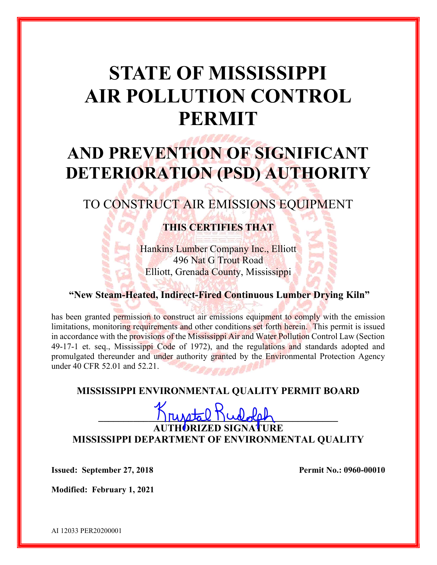# STATE OF MISSISSIPPI AIR POLLUTION CONTROL PERMIT

# AND PREVENTION OF SIGNIFICANT DETERIORATION (PSD) AUTHORITY

# TO CONSTRUCT AIR EMISSIONS EQUIPMENT

# THIS CERTIFIES THAT

Hankins Lumber Company Inc., Elliott 496 Nat G Trout Road Elliott, Grenada County, Mississippi

### "New Steam-Heated, Indirect-Fired Continuous Lumber Drying Kiln"

has been granted permission to construct air emissions equipment to comply with the emission limitations, monitoring requirements and other conditions set forth herein. This permit is issued in accordance with the provisions of the Mississippi Air and Water Pollution Control Law (Section 49-17-1 et. seq., Mississippi Code of 1972), and the regulations and standards adopted and promulgated thereunder and under authority granted by the Environmental Protection Agency under 40 CFR 52.01 and 52.21.

## MISSISSIPPI ENVIRONMENTAL QUALITY PERMIT BOARD

# $H_{\text{MAP}} \circ H_{\text{full}}$ AUTHORIZED SIGNATURE MISSISSIPPI DEPARTMENT OF ENVIRONMENTAL QUALITY

**Issued: September 27, 2018** Permit No.: 0960-00010

Modified: February 1, 2021

AI 12033 PER20200001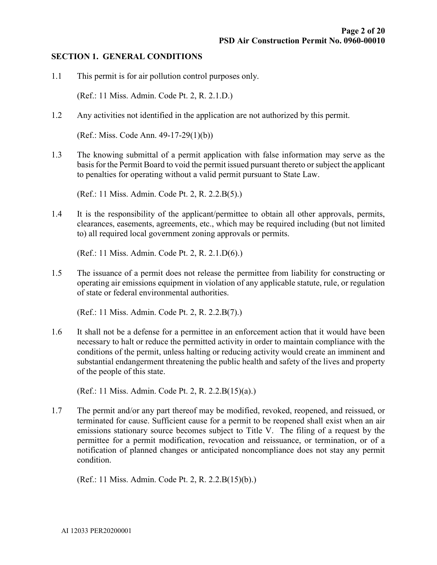#### SECTION 1. GENERAL CONDITIONS

1.1 This permit is for air pollution control purposes only.

(Ref.: 11 Miss. Admin. Code Pt. 2, R. 2.1.D.)

1.2 Any activities not identified in the application are not authorized by this permit.

(Ref.: Miss. Code Ann. 49-17-29(1)(b))

1.3 The knowing submittal of a permit application with false information may serve as the basis for the Permit Board to void the permit issued pursuant thereto or subject the applicant to penalties for operating without a valid permit pursuant to State Law.

(Ref.: 11 Miss. Admin. Code Pt. 2, R. 2.2.B(5).)

1.4 It is the responsibility of the applicant/permittee to obtain all other approvals, permits, clearances, easements, agreements, etc., which may be required including (but not limited to) all required local government zoning approvals or permits.

(Ref.: 11 Miss. Admin. Code Pt. 2, R. 2.1.D(6).)

1.5 The issuance of a permit does not release the permittee from liability for constructing or operating air emissions equipment in violation of any applicable statute, rule, or regulation of state or federal environmental authorities.

(Ref.: 11 Miss. Admin. Code Pt. 2, R. 2.2.B(7).)

1.6 It shall not be a defense for a permittee in an enforcement action that it would have been necessary to halt or reduce the permitted activity in order to maintain compliance with the conditions of the permit, unless halting or reducing activity would create an imminent and substantial endangerment threatening the public health and safety of the lives and property of the people of this state.

(Ref.: 11 Miss. Admin. Code Pt. 2, R. 2.2.B(15)(a).)

1.7 The permit and/or any part thereof may be modified, revoked, reopened, and reissued, or terminated for cause. Sufficient cause for a permit to be reopened shall exist when an air emissions stationary source becomes subject to Title V. The filing of a request by the permittee for a permit modification, revocation and reissuance, or termination, or of a notification of planned changes or anticipated noncompliance does not stay any permit condition.

(Ref.: 11 Miss. Admin. Code Pt. 2, R. 2.2.B(15)(b).)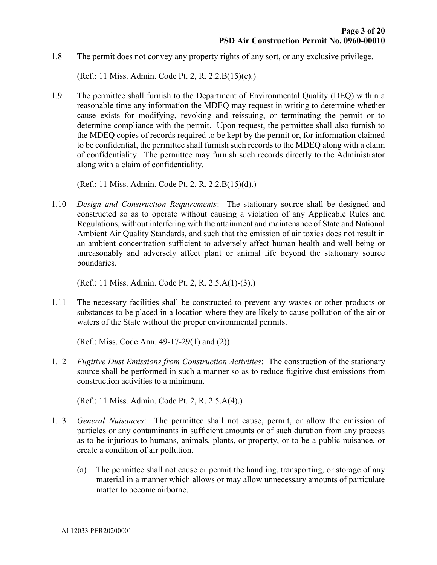1.8 The permit does not convey any property rights of any sort, or any exclusive privilege.

(Ref.: 11 Miss. Admin. Code Pt. 2, R. 2.2.B(15)(c).)

1.9 The permittee shall furnish to the Department of Environmental Quality (DEQ) within a reasonable time any information the MDEQ may request in writing to determine whether cause exists for modifying, revoking and reissuing, or terminating the permit or to determine compliance with the permit. Upon request, the permittee shall also furnish to the MDEQ copies of records required to be kept by the permit or, for information claimed to be confidential, the permittee shall furnish such records to the MDEQ along with a claim of confidentiality. The permittee may furnish such records directly to the Administrator along with a claim of confidentiality.

(Ref.: 11 Miss. Admin. Code Pt. 2, R. 2.2.B(15)(d).)

1.10 Design and Construction Requirements: The stationary source shall be designed and constructed so as to operate without causing a violation of any Applicable Rules and Regulations, without interfering with the attainment and maintenance of State and National Ambient Air Quality Standards, and such that the emission of air toxics does not result in an ambient concentration sufficient to adversely affect human health and well-being or unreasonably and adversely affect plant or animal life beyond the stationary source boundaries.

(Ref.: 11 Miss. Admin. Code Pt. 2, R. 2.5.A(1)-(3).)

1.11 The necessary facilities shall be constructed to prevent any wastes or other products or substances to be placed in a location where they are likely to cause pollution of the air or waters of the State without the proper environmental permits.

(Ref.: Miss. Code Ann. 49-17-29(1) and (2))

1.12 Fugitive Dust Emissions from Construction Activities: The construction of the stationary source shall be performed in such a manner so as to reduce fugitive dust emissions from construction activities to a minimum.

(Ref.: 11 Miss. Admin. Code Pt. 2, R. 2.5.A(4).)

- 1.13 General Nuisances: The permittee shall not cause, permit, or allow the emission of particles or any contaminants in sufficient amounts or of such duration from any process as to be injurious to humans, animals, plants, or property, or to be a public nuisance, or create a condition of air pollution.
	- (a) The permittee shall not cause or permit the handling, transporting, or storage of any material in a manner which allows or may allow unnecessary amounts of particulate matter to become airborne.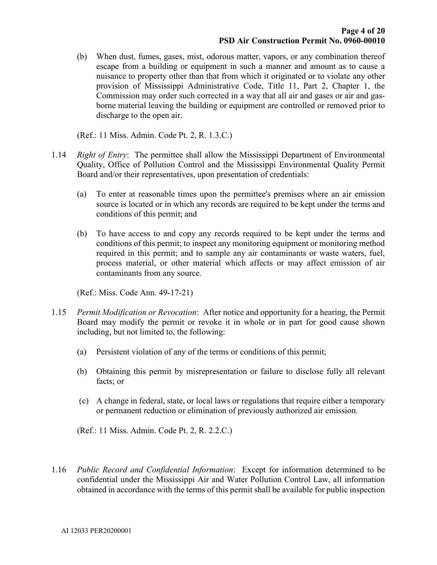(b) When dust, fumes, gases, mist, odorous matter, vapors, or any combination thereof escape from a building or equipment in such a manner and amount as to cause a nuisance to property other than that from which it originated or to violate any other provision of Mississippi Administrative Code, Title 11, Part 2, Chapter 1, the Commission may order such corrected in a way that all air and gases or air and gasborne material leaving the building or equipment are controlled or removed prior to discharge to the open air.

(Ref.: 11 Miss. Admin. Code Pt. 2, R. 1.3.C.)

- 1.14 Right of Entry: The permittee shall allow the Mississippi Department of Environmental Quality, Office of Pollution Control and the Mississippi Environmental Quality Permit Board and/or their representatives, upon presentation of credentials:
	- (a) To enter at reasonable times upon the permittee's premises where an air emission source is located or in which any records are required to be kept under the terms and conditions of this permit; and
	- (b) To have access to and copy any records required to be kept under the terms and conditions of this permit; to inspect any monitoring equipment or monitoring method required in this permit; and to sample any air contaminants or waste waters, fuel, process material, or other material which affects or may affect emission of air contaminants from any source.

(Ref.: Miss. Code Ann. 49-17-21)

- 1.15 Permit Modification or Revocation: After notice and opportunity for a hearing, the Permit Board may modify the permit or revoke it in whole or in part for good cause shown including, but not limited to, the following:
	- (a) Persistent violation of any of the terms or conditions of this permit;
	- (b) Obtaining this permit by misrepresentation or failure to disclose fully all relevant facts; or
	- (c) A change in federal, state, or local laws or regulations that require either a temporary or permanent reduction or elimination of previously authorized air emission.

(Ref.: 11 Miss. Admin. Code Pt. 2, R. 2.2.C.)

1.16 Public Record and Confidential Information: Except for information determined to be confidential under the Mississippi Air and Water Pollution Control Law, all information obtained in accordance with the terms of this permit shall be available for public inspection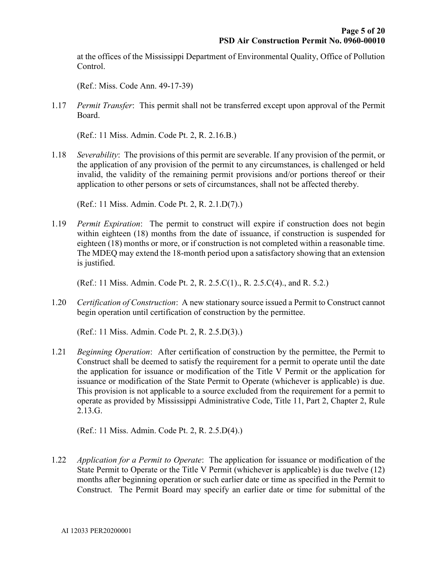at the offices of the Mississippi Department of Environmental Quality, Office of Pollution Control.

(Ref.: Miss. Code Ann. 49-17-39)

1.17 Permit Transfer: This permit shall not be transferred except upon approval of the Permit Board.

(Ref.: 11 Miss. Admin. Code Pt. 2, R. 2.16.B.)

1.18 Severability: The provisions of this permit are severable. If any provision of the permit, or the application of any provision of the permit to any circumstances, is challenged or held invalid, the validity of the remaining permit provisions and/or portions thereof or their application to other persons or sets of circumstances, shall not be affected thereby.

(Ref.: 11 Miss. Admin. Code Pt. 2, R. 2.1.D(7).)

1.19 Permit Expiration: The permit to construct will expire if construction does not begin within eighteen (18) months from the date of issuance, if construction is suspended for eighteen (18) months or more, or if construction is not completed within a reasonable time. The MDEQ may extend the 18-month period upon a satisfactory showing that an extension is justified.

(Ref.: 11 Miss. Admin. Code Pt. 2, R. 2.5.C(1)., R. 2.5.C(4)., and R. 5.2.)

1.20 Certification of Construction: A new stationary source issued a Permit to Construct cannot begin operation until certification of construction by the permittee.

(Ref.: 11 Miss. Admin. Code Pt. 2, R. 2.5.D(3).)

1.21 Beginning Operation: After certification of construction by the permittee, the Permit to Construct shall be deemed to satisfy the requirement for a permit to operate until the date the application for issuance or modification of the Title V Permit or the application for issuance or modification of the State Permit to Operate (whichever is applicable) is due. This provision is not applicable to a source excluded from the requirement for a permit to operate as provided by Mississippi Administrative Code, Title 11, Part 2, Chapter 2, Rule 2.13.G.

(Ref.: 11 Miss. Admin. Code Pt. 2, R. 2.5.D(4).)

1.22 Application for a Permit to Operate: The application for issuance or modification of the State Permit to Operate or the Title V Permit (whichever is applicable) is due twelve (12) months after beginning operation or such earlier date or time as specified in the Permit to Construct. The Permit Board may specify an earlier date or time for submittal of the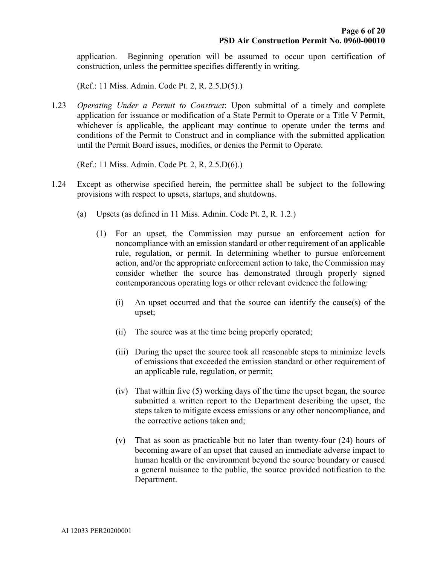application. Beginning operation will be assumed to occur upon certification of construction, unless the permittee specifies differently in writing.

(Ref.: 11 Miss. Admin. Code Pt. 2, R. 2.5.D(5).)

1.23 Operating Under a Permit to Construct: Upon submittal of a timely and complete application for issuance or modification of a State Permit to Operate or a Title V Permit, whichever is applicable, the applicant may continue to operate under the terms and conditions of the Permit to Construct and in compliance with the submitted application until the Permit Board issues, modifies, or denies the Permit to Operate.

(Ref.: 11 Miss. Admin. Code Pt. 2, R. 2.5.D(6).)

- 1.24 Except as otherwise specified herein, the permittee shall be subject to the following provisions with respect to upsets, startups, and shutdowns.
	- (a) Upsets (as defined in 11 Miss. Admin. Code Pt. 2, R. 1.2.)
		- (1) For an upset, the Commission may pursue an enforcement action for noncompliance with an emission standard or other requirement of an applicable rule, regulation, or permit. In determining whether to pursue enforcement action, and/or the appropriate enforcement action to take, the Commission may consider whether the source has demonstrated through properly signed contemporaneous operating logs or other relevant evidence the following:
			- (i) An upset occurred and that the source can identify the cause(s) of the upset;
			- (ii) The source was at the time being properly operated;
			- (iii) During the upset the source took all reasonable steps to minimize levels of emissions that exceeded the emission standard or other requirement of an applicable rule, regulation, or permit;
			- (iv) That within five (5) working days of the time the upset began, the source submitted a written report to the Department describing the upset, the steps taken to mitigate excess emissions or any other noncompliance, and the corrective actions taken and;
			- (v) That as soon as practicable but no later than twenty-four (24) hours of becoming aware of an upset that caused an immediate adverse impact to human health or the environment beyond the source boundary or caused a general nuisance to the public, the source provided notification to the Department.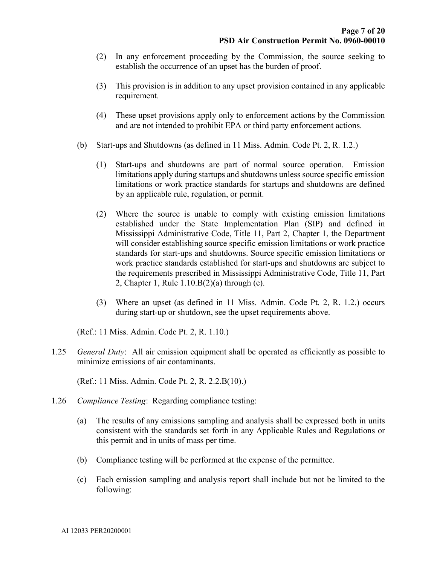- (2) In any enforcement proceeding by the Commission, the source seeking to establish the occurrence of an upset has the burden of proof.
- (3) This provision is in addition to any upset provision contained in any applicable requirement.
- (4) These upset provisions apply only to enforcement actions by the Commission and are not intended to prohibit EPA or third party enforcement actions.
- (b) Start-ups and Shutdowns (as defined in 11 Miss. Admin. Code Pt. 2, R. 1.2.)
	- (1) Start-ups and shutdowns are part of normal source operation. Emission limitations apply during startups and shutdowns unless source specific emission limitations or work practice standards for startups and shutdowns are defined by an applicable rule, regulation, or permit.
	- (2) Where the source is unable to comply with existing emission limitations established under the State Implementation Plan (SIP) and defined in Mississippi Administrative Code, Title 11, Part 2, Chapter 1, the Department will consider establishing source specific emission limitations or work practice standards for start-ups and shutdowns. Source specific emission limitations or work practice standards established for start-ups and shutdowns are subject to the requirements prescribed in Mississippi Administrative Code, Title 11, Part 2, Chapter 1, Rule 1.10.B(2)(a) through (e).
	- (3) Where an upset (as defined in 11 Miss. Admin. Code Pt. 2, R. 1.2.) occurs during start-up or shutdown, see the upset requirements above.

(Ref.: 11 Miss. Admin. Code Pt. 2, R. 1.10.)

1.25 General Duty: All air emission equipment shall be operated as efficiently as possible to minimize emissions of air contaminants.

(Ref.: 11 Miss. Admin. Code Pt. 2, R. 2.2.B(10).)

- 1.26 Compliance Testing: Regarding compliance testing:
	- (a) The results of any emissions sampling and analysis shall be expressed both in units consistent with the standards set forth in any Applicable Rules and Regulations or this permit and in units of mass per time.
	- (b) Compliance testing will be performed at the expense of the permittee.
	- (c) Each emission sampling and analysis report shall include but not be limited to the following: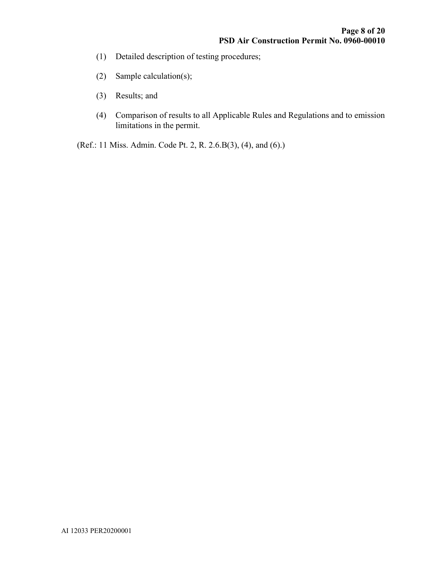- (1) Detailed description of testing procedures;
- (2) Sample calculation(s);
- (3) Results; and
- (4) Comparison of results to all Applicable Rules and Regulations and to emission limitations in the permit.

(Ref.: 11 Miss. Admin. Code Pt. 2, R. 2.6.B(3), (4), and (6).)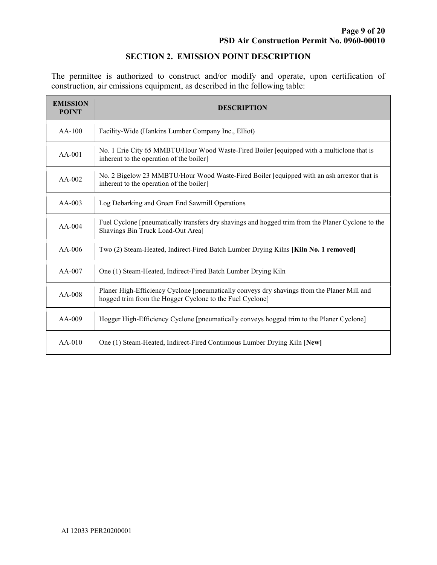### SECTION 2. EMISSION POINT DESCRIPTION

The permittee is authorized to construct and/or modify and operate, upon certification of construction, air emissions equipment, as described in the following table:

| <b>EMISSION</b><br><b>POINT</b> | <b>DESCRIPTION</b>                                                                                                                                      |  |  |
|---------------------------------|---------------------------------------------------------------------------------------------------------------------------------------------------------|--|--|
| $AA-100$                        | Facility-Wide (Hankins Lumber Company Inc., Elliot)                                                                                                     |  |  |
| $AA-001$                        | No. 1 Erie City 65 MMBTU/Hour Wood Waste-Fired Boiler [equipped with a multiclone that is<br>inherent to the operation of the boiler]                   |  |  |
| $AA-002$                        | No. 2 Bigelow 23 MMBTU/Hour Wood Waste-Fired Boiler [equipped with an ash arrestor that is<br>inherent to the operation of the boiler]                  |  |  |
| $AA-003$                        | Log Debarking and Green End Sawmill Operations                                                                                                          |  |  |
| $AA-004$                        | Fuel Cyclone [pneumatically transfers dry shavings and hogged trim from the Planer Cyclone to the<br>Shavings Bin Truck Load-Out Area]                  |  |  |
| $AA-006$                        | Two (2) Steam-Heated, Indirect-Fired Batch Lumber Drying Kilns [Kiln No. 1 removed]                                                                     |  |  |
| $AA-007$                        | One (1) Steam-Heated, Indirect-Fired Batch Lumber Drying Kiln                                                                                           |  |  |
| $AA-008$                        | Planer High-Efficiency Cyclone [pneumatically conveys dry shavings from the Planer Mill and<br>hogged trim from the Hogger Cyclone to the Fuel Cyclone] |  |  |
| AA-009                          | Hogger High-Efficiency Cyclone [pneumatically conveys hogged trim to the Planer Cyclone]                                                                |  |  |
| $AA-010$                        | One (1) Steam-Heated, Indirect-Fired Continuous Lumber Drying Kiln [New]                                                                                |  |  |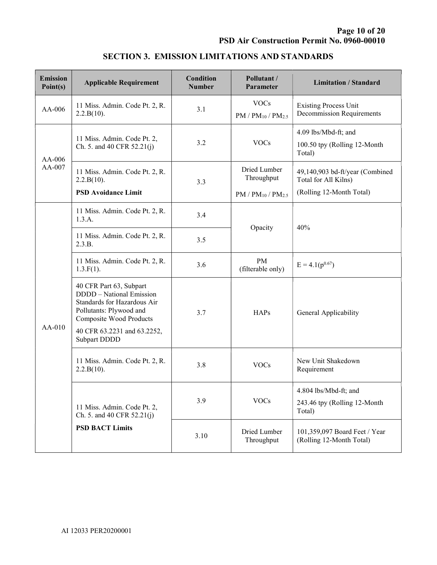| <b>Emission</b><br>Point(s) | <b>Applicable Requirement</b>                                                                                                                                                                  | Condition<br><b>Number</b> | Pollutant /<br>Parameter                 | <b>Limitation / Standard</b>                                     |
|-----------------------------|------------------------------------------------------------------------------------------------------------------------------------------------------------------------------------------------|----------------------------|------------------------------------------|------------------------------------------------------------------|
| AA-006                      | 11 Miss. Admin. Code Pt. 2, R.<br>2.2.B(10).                                                                                                                                                   | 3.1                        | <b>VOCs</b><br>$PM / PM_{10} / PM_{2.5}$ | <b>Existing Process Unit</b><br><b>Decommission Requirements</b> |
| $AA-006$<br>AA-007          | 11 Miss. Admin. Code Pt. 2,<br>Ch. 5. and 40 CFR $52.21(j)$                                                                                                                                    | 3.2                        | <b>VOCs</b>                              | 4.09 lbs/Mbd-ft; and<br>100.50 tpy (Rolling 12-Month<br>Total)   |
|                             | 11 Miss. Admin. Code Pt. 2, R.<br>2.2.B(10).                                                                                                                                                   | 3.3                        | Dried Lumber<br>Throughput               | 49,140,903 bd-ft/year (Combined<br>Total for All Kilns)          |
|                             | <b>PSD Avoidance Limit</b>                                                                                                                                                                     |                            | $PM / PM_{10} / PM_{2.5}$                | (Rolling 12-Month Total)                                         |
| AA-010                      | 11 Miss. Admin. Code Pt. 2, R.<br>1.3.A.                                                                                                                                                       | 3.4                        |                                          | 40%                                                              |
|                             | 11 Miss. Admin. Code Pt. 2, R.<br>2.3.B.                                                                                                                                                       | 3.5                        | Opacity                                  |                                                                  |
|                             | 11 Miss. Admin. Code Pt. 2, R.<br>$1.3.F(1)$ .                                                                                                                                                 | 3.6                        | PM<br>(filterable only)                  | $E = 4.1(p^{0.67})$                                              |
|                             | 40 CFR Part 63, Subpart<br>DDDD - National Emission<br>Standards for Hazardous Air<br>Pollutants: Plywood and<br><b>Composite Wood Products</b><br>40 CFR 63.2231 and 63.2252,<br>Subpart DDDD | 3.7                        | <b>HAPs</b>                              | General Applicability                                            |
|                             | 11 Miss. Admin. Code Pt. 2, R.<br>2.2.B(10).                                                                                                                                                   | 3.8                        | <b>VOCs</b>                              | New Unit Shakedown<br>Requirement                                |
|                             | 11 Miss. Admin. Code Pt. 2,<br>Ch. 5. and 40 CFR $52.21(j)$<br><b>PSD BACT Limits</b>                                                                                                          | 3.9                        | <b>VOCs</b>                              | 4.804 lbs/Mbd-ft; and<br>243.46 tpy (Rolling 12-Month<br>Total)  |
|                             |                                                                                                                                                                                                | 3.10                       | Dried Lumber<br>Throughput               | 101,359,097 Board Feet / Year<br>(Rolling 12-Month Total)        |

## SECTION 3. EMISSION LIMITATIONS AND STANDARDS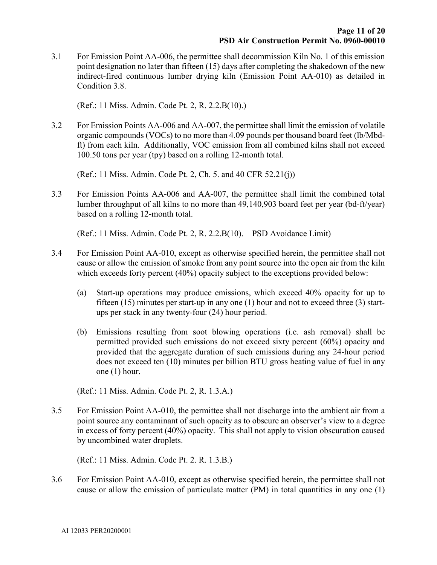3.1 For Emission Point AA-006, the permittee shall decommission Kiln No. 1 of this emission point designation no later than fifteen (15) days after completing the shakedown of the new indirect-fired continuous lumber drying kiln (Emission Point AA-010) as detailed in Condition 3.8.

(Ref.: 11 Miss. Admin. Code Pt. 2, R. 2.2.B(10).)

3.2 For Emission Points AA-006 and AA-007, the permittee shall limit the emission of volatile organic compounds (VOCs) to no more than 4.09 pounds per thousand board feet (lb/Mbdft) from each kiln. Additionally, VOC emission from all combined kilns shall not exceed 100.50 tons per year (tpy) based on a rolling 12-month total.

(Ref.: 11 Miss. Admin. Code Pt. 2, Ch. 5. and 40 CFR 52.21(j))

3.3 For Emission Points AA-006 and AA-007, the permittee shall limit the combined total lumber throughput of all kilns to no more than 49,140,903 board feet per year (bd-ft/year) based on a rolling 12-month total.

(Ref.: 11 Miss. Admin. Code Pt. 2, R. 2.2.B(10). – PSD Avoidance Limit)

- 3.4 For Emission Point AA-010, except as otherwise specified herein, the permittee shall not cause or allow the emission of smoke from any point source into the open air from the kiln which exceeds forty percent (40%) opacity subject to the exceptions provided below:
	- (a) Start-up operations may produce emissions, which exceed 40% opacity for up to fifteen (15) minutes per start-up in any one (1) hour and not to exceed three (3) startups per stack in any twenty-four (24) hour period.
	- (b) Emissions resulting from soot blowing operations (i.e. ash removal) shall be permitted provided such emissions do not exceed sixty percent (60%) opacity and provided that the aggregate duration of such emissions during any 24-hour period does not exceed ten (10) minutes per billion BTU gross heating value of fuel in any one (1) hour.

(Ref.: 11 Miss. Admin. Code Pt. 2, R. 1.3.A.)

3.5 For Emission Point AA-010, the permittee shall not discharge into the ambient air from a point source any contaminant of such opacity as to obscure an observer's view to a degree in excess of forty percent (40%) opacity. This shall not apply to vision obscuration caused by uncombined water droplets.

(Ref.: 11 Miss. Admin. Code Pt. 2. R. 1.3.B.)

3.6 For Emission Point AA-010, except as otherwise specified herein, the permittee shall not cause or allow the emission of particulate matter (PM) in total quantities in any one (1)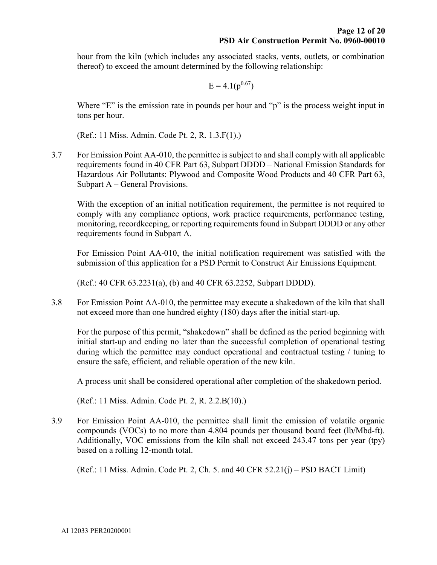hour from the kiln (which includes any associated stacks, vents, outlets, or combination thereof) to exceed the amount determined by the following relationship:

$$
E = 4.1(p^{0.67})
$$

Where "E" is the emission rate in pounds per hour and "p" is the process weight input in tons per hour.

(Ref.: 11 Miss. Admin. Code Pt. 2, R. 1.3.F(1).)

3.7 For Emission Point AA-010, the permittee is subject to and shall comply with all applicable requirements found in 40 CFR Part 63, Subpart DDDD – National Emission Standards for Hazardous Air Pollutants: Plywood and Composite Wood Products and 40 CFR Part 63, Subpart A – General Provisions.

With the exception of an initial notification requirement, the permittee is not required to comply with any compliance options, work practice requirements, performance testing, monitoring, recordkeeping, or reporting requirements found in Subpart DDDD or any other requirements found in Subpart A.

For Emission Point AA-010, the initial notification requirement was satisfied with the submission of this application for a PSD Permit to Construct Air Emissions Equipment.

(Ref.: 40 CFR 63.2231(a), (b) and 40 CFR 63.2252, Subpart DDDD).

3.8 For Emission Point AA-010, the permittee may execute a shakedown of the kiln that shall not exceed more than one hundred eighty (180) days after the initial start-up.

 For the purpose of this permit, "shakedown" shall be defined as the period beginning with initial start-up and ending no later than the successful completion of operational testing during which the permittee may conduct operational and contractual testing / tuning to ensure the safe, efficient, and reliable operation of the new kiln.

A process unit shall be considered operational after completion of the shakedown period.

(Ref.: 11 Miss. Admin. Code Pt. 2, R. 2.2.B(10).)

3.9 For Emission Point AA-010, the permittee shall limit the emission of volatile organic compounds (VOCs) to no more than 4.804 pounds per thousand board feet (lb/Mbd-ft). Additionally, VOC emissions from the kiln shall not exceed 243.47 tons per year (tpy) based on a rolling 12-month total.

(Ref.: 11 Miss. Admin. Code Pt. 2, Ch. 5. and 40 CFR 52.21(j) – PSD BACT Limit)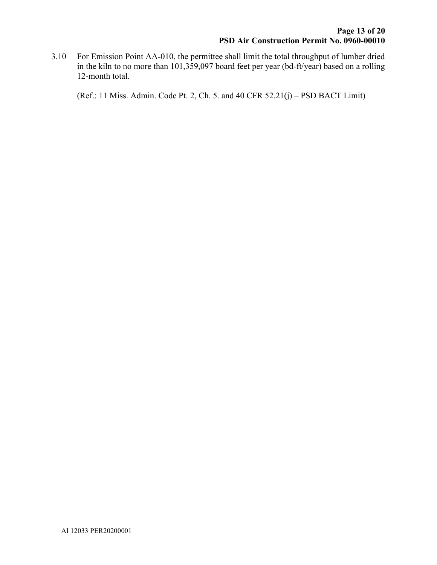3.10 For Emission Point AA-010, the permittee shall limit the total throughput of lumber dried in the kiln to no more than 101,359,097 board feet per year (bd-ft/year) based on a rolling 12-month total.

(Ref.: 11 Miss. Admin. Code Pt. 2, Ch. 5. and 40 CFR 52.21(j) – PSD BACT Limit)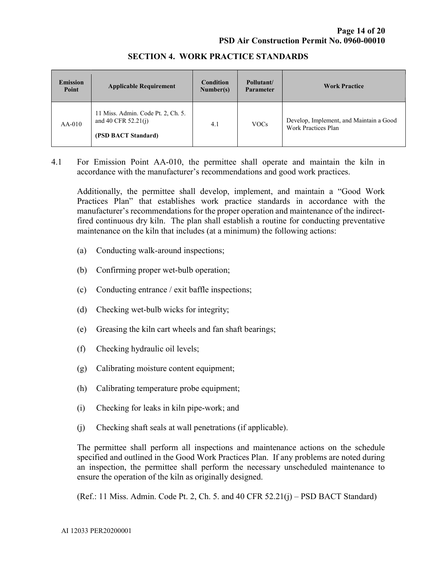| <b>Emission</b><br>Point | <b>Applicable Requirement</b>                                                      | <b>Condition</b><br>Number(s) | Pollutant/<br><b>Parameter</b> | <b>Work Practice</b>                                           |
|--------------------------|------------------------------------------------------------------------------------|-------------------------------|--------------------------------|----------------------------------------------------------------|
| $AA-010$                 | 11 Miss. Admin. Code Pt. 2, Ch. 5.<br>and 40 CFR $52.21(j)$<br>(PSD BACT Standard) | 4.1                           | <b>VOCs</b>                    | Develop, Implement, and Maintain a Good<br>Work Practices Plan |

#### SECTION 4. WORK PRACTICE STANDARDS

4.1 For Emission Point AA-010, the permittee shall operate and maintain the kiln in accordance with the manufacturer's recommendations and good work practices.

 Additionally, the permittee shall develop, implement, and maintain a "Good Work Practices Plan" that establishes work practice standards in accordance with the manufacturer's recommendations for the proper operation and maintenance of the indirectfired continuous dry kiln. The plan shall establish a routine for conducting preventative maintenance on the kiln that includes (at a minimum) the following actions:

- (a) Conducting walk-around inspections;
- (b) Confirming proper wet-bulb operation;
- (c) Conducting entrance / exit baffle inspections;
- (d) Checking wet-bulb wicks for integrity;
- (e) Greasing the kiln cart wheels and fan shaft bearings;
- (f) Checking hydraulic oil levels;
- (g) Calibrating moisture content equipment;
- (h) Calibrating temperature probe equipment;
- (i) Checking for leaks in kiln pipe-work; and
- (j) Checking shaft seals at wall penetrations (if applicable).

 The permittee shall perform all inspections and maintenance actions on the schedule specified and outlined in the Good Work Practices Plan. If any problems are noted during an inspection, the permittee shall perform the necessary unscheduled maintenance to ensure the operation of the kiln as originally designed.

(Ref.: 11 Miss. Admin. Code Pt. 2, Ch. 5. and 40 CFR 52.21(j) – PSD BACT Standard)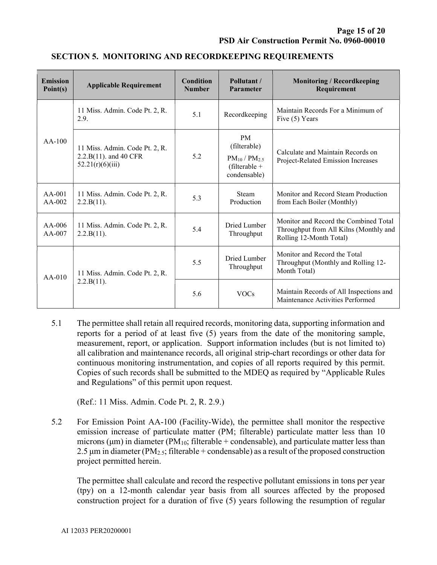| <b>Emission</b><br>Point(s) | <b>Applicable Requirement</b>                                               | <b>Condition</b><br><b>Number</b> | Pollutant /<br>Parameter                                                               | <b>Monitoring / Recordkeeping</b><br>Requirement                                                           |
|-----------------------------|-----------------------------------------------------------------------------|-----------------------------------|----------------------------------------------------------------------------------------|------------------------------------------------------------------------------------------------------------|
| $AA-100$                    | 11 Miss. Admin. Code Pt. 2, R.<br>2.9.                                      | 5.1                               | Recordkeeping                                                                          | Maintain Records For a Minimum of<br>Five (5) Years                                                        |
|                             | 11 Miss. Admin. Code Pt. 2, R.<br>2.2.B(11). and 40 CFR<br>52.21(r)(6)(iii) | 5.2                               | <b>PM</b><br>(filterable)<br>$PM_{10}$ / $PM_{2.5}$<br>(filterable $+$<br>condensable) | Calculate and Maintain Records on<br>Project-Related Emission Increases                                    |
| $AA-001$<br>$AA-002$        | 11 Miss. Admin. Code Pt. 2, R.<br>2.2.B(11).                                | 5.3                               | Steam<br>Production                                                                    | Monitor and Record Steam Production<br>from Each Boiler (Monthly)                                          |
| $AA-006$<br>$AA-007$        | 11 Miss. Admin. Code Pt. 2, R.<br>2.2.B(11).                                | 5.4                               | Dried Lumber<br>Throughput                                                             | Monitor and Record the Combined Total<br>Throughput from All Kilns (Monthly and<br>Rolling 12-Month Total) |
| $AA-010$                    | 11 Miss. Admin. Code Pt. 2, R.<br>2.2.B(11).                                | 5.5                               | Dried Lumber<br>Throughput                                                             | Monitor and Record the Total<br>Throughput (Monthly and Rolling 12-<br>Month Total)                        |
|                             |                                                                             | 5.6                               | <b>VOCs</b>                                                                            | Maintain Records of All Inspections and<br>Maintenance Activities Performed                                |

#### SECTION 5. MONITORING AND RECORDKEEPING REQUIREMENTS

5.1 The permittee shall retain all required records, monitoring data, supporting information and reports for a period of at least five (5) years from the date of the monitoring sample, measurement, report, or application. Support information includes (but is not limited to) all calibration and maintenance records, all original strip-chart recordings or other data for continuous monitoring instrumentation, and copies of all reports required by this permit. Copies of such records shall be submitted to the MDEQ as required by "Applicable Rules and Regulations" of this permit upon request.

(Ref.: 11 Miss. Admin. Code Pt. 2, R. 2.9.)

5.2 For Emission Point AA-100 (Facility-Wide), the permittee shall monitor the respective emission increase of particulate matter (PM; filterable) particulate matter less than 10 microns ( $\mu$ m) in diameter (PM<sub>10</sub>; filterable + condensable), and particulate matter less than 2.5  $\mu$ m in diameter (PM<sub>2.5</sub>; filterable + condensable) as a result of the proposed construction project permitted herein.

 The permittee shall calculate and record the respective pollutant emissions in tons per year (tpy) on a 12-month calendar year basis from all sources affected by the proposed construction project for a duration of five (5) years following the resumption of regular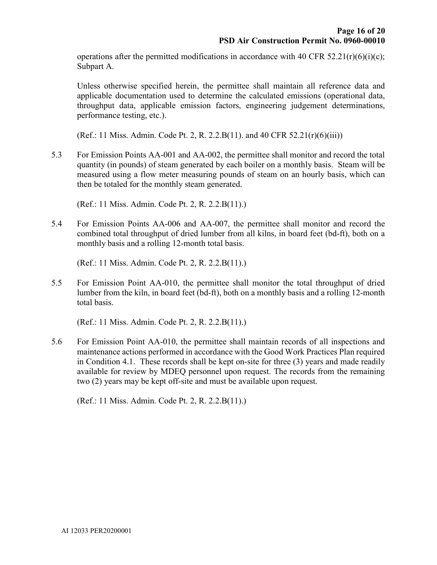operations after the permitted modifications in accordance with 40 CFR 52.21(r)(6)(i)(c); Subpart A.

Unless otherwise specified herein, the permittee shall maintain all reference data and applicable documentation used to determine the calculated emissions (operational data, throughput data, applicable emission factors, engineering judgement determinations, performance testing, etc.).

(Ref.: 11 Miss. Admin. Code Pt. 2, R. 2.2.B(11). and 40 CFR 52.21(r)(6)(iii))

5.3 For Emission Points AA-001 and AA-002, the permittee shall monitor and record the total quantity (in pounds) of steam generated by each boiler on a monthly basis. Steam will be measured using a flow meter measuring pounds of steam on an hourly basis, which can then be totaled for the monthly steam generated.

(Ref.: 11 Miss. Admin. Code Pt. 2, R. 2.2.B(11).)

5.4 For Emission Points AA-006 and AA-007, the permittee shall monitor and record the combined total throughput of dried lumber from all kilns, in board feet (bd-ft), both on a monthly basis and a rolling 12-month total basis.

(Ref.: 11 Miss. Admin. Code Pt. 2, R. 2.2.B(11).)

5.5 For Emission Point AA-010, the permittee shall monitor the total throughput of dried lumber from the kiln, in board feet (bd-ft), both on a monthly basis and a rolling 12-month total basis.

(Ref.: 11 Miss. Admin. Code Pt. 2, R. 2.2.B(11).)

5.6 For Emission Point AA-010, the permittee shall maintain records of all inspections and maintenance actions performed in accordance with the Good Work Practices Plan required in Condition 4.1. These records shall be kept on-site for three (3) years and made readily available for review by MDEQ personnel upon request. The records from the remaining two (2) years may be kept off-site and must be available upon request.

(Ref.: 11 Miss. Admin. Code Pt. 2, R. 2.2.B(11).)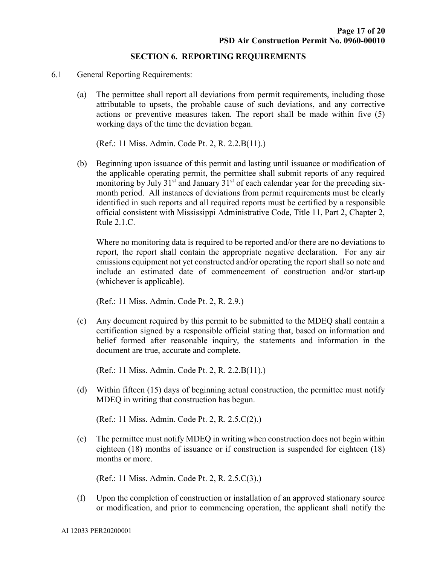#### SECTION 6. REPORTING REQUIREMENTS

- 6.1 General Reporting Requirements:
	- (a) The permittee shall report all deviations from permit requirements, including those attributable to upsets, the probable cause of such deviations, and any corrective actions or preventive measures taken. The report shall be made within five (5) working days of the time the deviation began.

(Ref.: 11 Miss. Admin. Code Pt. 2, R. 2.2.B(11).)

(b) Beginning upon issuance of this permit and lasting until issuance or modification of the applicable operating permit, the permittee shall submit reports of any required monitoring by July  $31<sup>st</sup>$  and January  $31<sup>st</sup>$  of each calendar year for the preceding sixmonth period. All instances of deviations from permit requirements must be clearly identified in such reports and all required reports must be certified by a responsible official consistent with Mississippi Administrative Code, Title 11, Part 2, Chapter 2, Rule 2.1.C.

 Where no monitoring data is required to be reported and/or there are no deviations to report, the report shall contain the appropriate negative declaration. For any air emissions equipment not yet constructed and/or operating the report shall so note and include an estimated date of commencement of construction and/or start-up (whichever is applicable).

(Ref.: 11 Miss. Admin. Code Pt. 2, R. 2.9.)

(c) Any document required by this permit to be submitted to the MDEQ shall contain a certification signed by a responsible official stating that, based on information and belief formed after reasonable inquiry, the statements and information in the document are true, accurate and complete.

(Ref.: 11 Miss. Admin. Code Pt. 2, R. 2.2.B(11).)

(d) Within fifteen (15) days of beginning actual construction, the permittee must notify MDEQ in writing that construction has begun.

(Ref.: 11 Miss. Admin. Code Pt. 2, R. 2.5.C(2).)

(e) The permittee must notify MDEQ in writing when construction does not begin within eighteen (18) months of issuance or if construction is suspended for eighteen (18) months or more.

(Ref.: 11 Miss. Admin. Code Pt. 2, R. 2.5.C(3).)

(f) Upon the completion of construction or installation of an approved stationary source or modification, and prior to commencing operation, the applicant shall notify the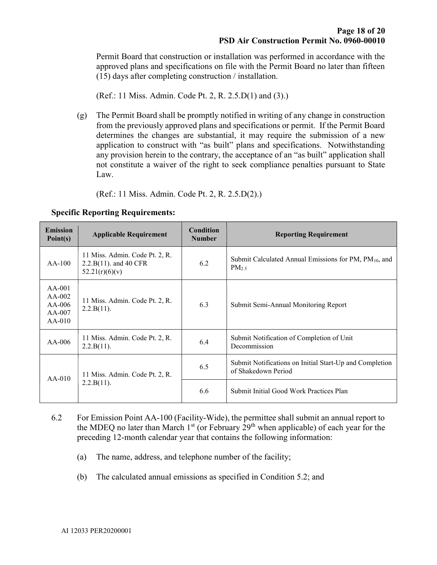Permit Board that construction or installation was performed in accordance with the approved plans and specifications on file with the Permit Board no later than fifteen (15) days after completing construction / installation.

(Ref.: 11 Miss. Admin. Code Pt. 2, R. 2.5.D(1) and (3).)

(g) The Permit Board shall be promptly notified in writing of any change in construction from the previously approved plans and specifications or permit. If the Permit Board determines the changes are substantial, it may require the submission of a new application to construct with "as built" plans and specifications. Notwithstanding any provision herein to the contrary, the acceptance of an "as built" application shall not constitute a waiver of the right to seek compliance penalties pursuant to State Law.

(Ref.: 11 Miss. Admin. Code Pt. 2, R. 2.5.D(2).)

| <b>Emission</b><br>Point(s)                            | <b>Applicable Requirement</b>                                                | <b>Condition</b><br><b>Number</b> | <b>Reporting Requirement</b>                                                           |
|--------------------------------------------------------|------------------------------------------------------------------------------|-----------------------------------|----------------------------------------------------------------------------------------|
| $AA-100$                                               | 11 Miss. Admin. Code Pt. 2, R.<br>$2.2.B(11)$ . and 40 CFR<br>52.21(r)(6)(v) | 6.2                               | Submit Calculated Annual Emissions for PM, PM <sub>10</sub> , and<br>PM <sub>2.5</sub> |
| $AA-001$<br>$AA-002$<br>$AA-006$<br>AA-007<br>$AA-010$ | 11 Miss. Admin. Code Pt. 2, R.<br>2.2.B(11).                                 | 6.3                               | Submit Semi-Annual Monitoring Report                                                   |
| $AA-006$                                               | 11 Miss. Admin. Code Pt. 2, R.<br>2.2.B(11).                                 | 6.4                               | Submit Notification of Completion of Unit<br>Decommission                              |
| $AA-010$                                               | 11 Miss. Admin. Code Pt. 2, R.<br>2.2.B(11).                                 | 6.5                               | Submit Notifications on Initial Start-Up and Completion<br>of Shakedown Period         |
|                                                        |                                                                              | 6.6                               | Submit Initial Good Work Practices Plan                                                |

Specific Reporting Requirements:

- 6.2 For Emission Point AA-100 (Facility-Wide), the permittee shall submit an annual report to the MDEQ no later than March  $1<sup>st</sup>$  (or February  $29<sup>th</sup>$  when applicable) of each year for the preceding 12-month calendar year that contains the following information:
	- (a) The name, address, and telephone number of the facility;
	- (b) The calculated annual emissions as specified in Condition 5.2; and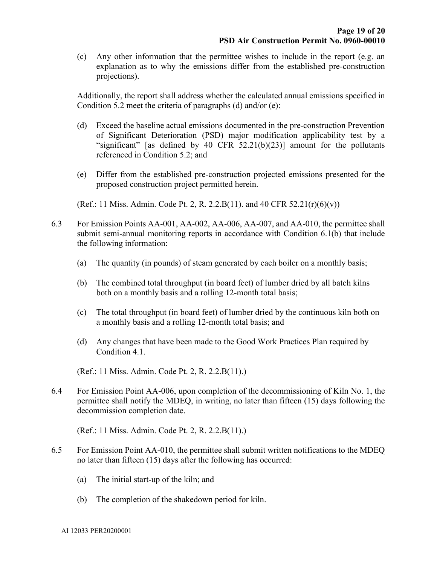(c) Any other information that the permittee wishes to include in the report (e.g. an explanation as to why the emissions differ from the established pre-construction projections).

 Additionally, the report shall address whether the calculated annual emissions specified in Condition 5.2 meet the criteria of paragraphs (d) and/or (e):

- (d) Exceed the baseline actual emissions documented in the pre-construction Prevention of Significant Deterioration (PSD) major modification applicability test by a "significant" [as defined by 40 CFR  $52.21(b)(23)$ ] amount for the pollutants referenced in Condition 5.2; and
- (e) Differ from the established pre-construction projected emissions presented for the proposed construction project permitted herein.

(Ref.: 11 Miss. Admin. Code Pt. 2, R. 2.2.B(11). and 40 CFR 52.21(r)(6)(v))

- 6.3 For Emission Points AA-001, AA-002, AA-006, AA-007, and AA-010, the permittee shall submit semi-annual monitoring reports in accordance with Condition 6.1(b) that include the following information:
	- (a) The quantity (in pounds) of steam generated by each boiler on a monthly basis;
	- (b) The combined total throughput (in board feet) of lumber dried by all batch kilns both on a monthly basis and a rolling 12-month total basis;
	- (c) The total throughput (in board feet) of lumber dried by the continuous kiln both on a monthly basis and a rolling 12-month total basis; and
	- (d) Any changes that have been made to the Good Work Practices Plan required by Condition 4.1.

(Ref.: 11 Miss. Admin. Code Pt. 2, R. 2.2.B(11).)

6.4 For Emission Point AA-006, upon completion of the decommissioning of Kiln No. 1, the permittee shall notify the MDEQ, in writing, no later than fifteen (15) days following the decommission completion date.

(Ref.: 11 Miss. Admin. Code Pt. 2, R. 2.2.B(11).)

- 6.5 For Emission Point AA-010, the permittee shall submit written notifications to the MDEQ no later than fifteen (15) days after the following has occurred:
	- (a) The initial start-up of the kiln; and
	- (b) The completion of the shakedown period for kiln.